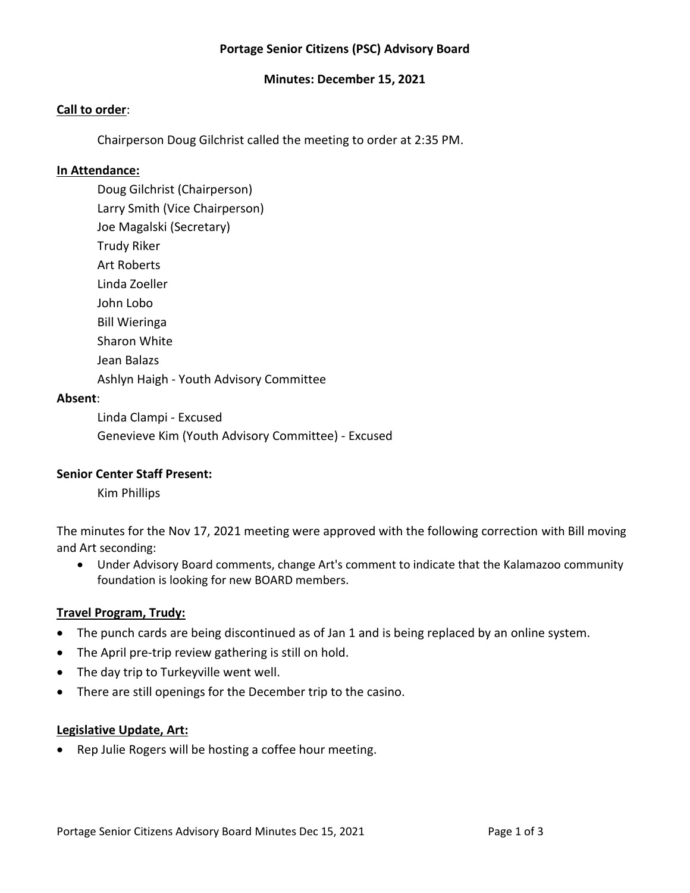# **Portage Senior Citizens (PSC) Advisory Board**

#### **Minutes: December 15, 2021**

#### **Call to order**:

Chairperson Doug Gilchrist called the meeting to order at 2:35 PM.

#### **In Attendance:**

Doug Gilchrist (Chairperson) Larry Smith (Vice Chairperson) Joe Magalski (Secretary) Trudy Riker Art Roberts Linda Zoeller John Lobo Bill Wieringa Sharon White Jean Balazs

Ashlyn Haigh - Youth Advisory Committee

#### **Absent**:

Linda Clampi - Excused Genevieve Kim (Youth Advisory Committee) - Excused

#### **Senior Center Staff Present:**

Kim Phillips

The minutes for the Nov 17, 2021 meeting were approved with the following correction with Bill moving and Art seconding:

• Under Advisory Board comments, change Art's comment to indicate that the Kalamazoo community foundation is looking for new BOARD members.

#### **Travel Program, Trudy:**

- The punch cards are being discontinued as of Jan 1 and is being replaced by an online system.
- The April pre-trip review gathering is still on hold.
- The day trip to Turkeyville went well.
- There are still openings for the December trip to the casino.

#### **Legislative Update, Art:**

• Rep Julie Rogers will be hosting a coffee hour meeting.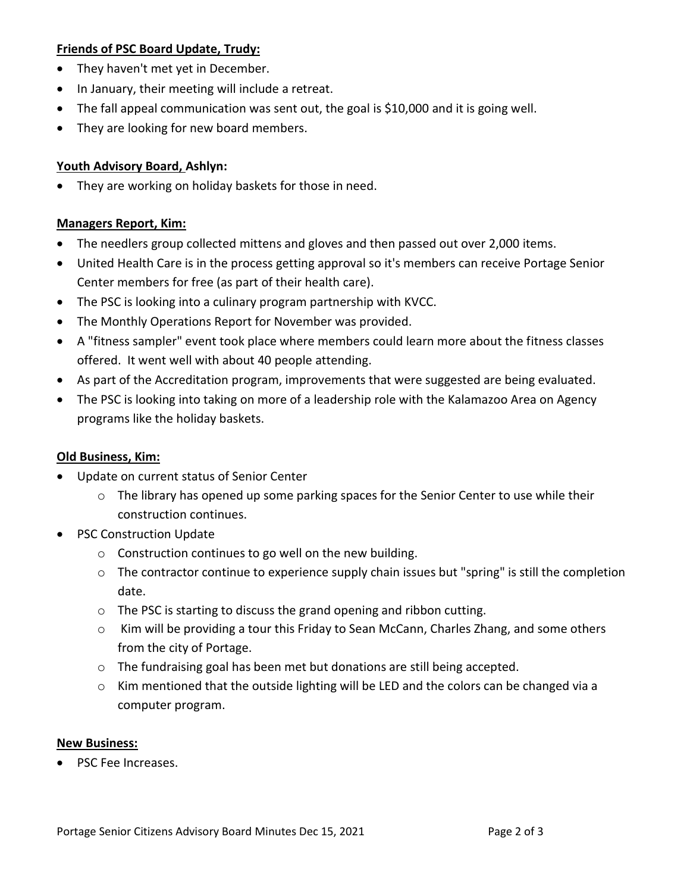### **Friends of PSC Board Update, Trudy:**

- They haven't met yet in December.
- In January, their meeting will include a retreat.
- The fall appeal communication was sent out, the goal is \$10,000 and it is going well.
- They are looking for new board members.

### **Youth Advisory Board, Ashlyn:**

• They are working on holiday baskets for those in need.

### **Managers Report, Kim:**

- The needlers group collected mittens and gloves and then passed out over 2,000 items.
- United Health Care is in the process getting approval so it's members can receive Portage Senior Center members for free (as part of their health care).
- The PSC is looking into a culinary program partnership with KVCC.
- The Monthly Operations Report for November was provided.
- A "fitness sampler" event took place where members could learn more about the fitness classes offered. It went well with about 40 people attending.
- As part of the Accreditation program, improvements that were suggested are being evaluated.
- The PSC is looking into taking on more of a leadership role with the Kalamazoo Area on Agency programs like the holiday baskets.

# **Old Business, Kim:**

- Update on current status of Senior Center
	- o The library has opened up some parking spaces for the Senior Center to use while their construction continues.
- PSC Construction Update
	- o Construction continues to go well on the new building.
	- o The contractor continue to experience supply chain issues but "spring" is still the completion date.
	- o The PSC is starting to discuss the grand opening and ribbon cutting.
	- o Kim will be providing a tour this Friday to Sean McCann, Charles Zhang, and some others from the city of Portage.
	- $\circ$  The fundraising goal has been met but donations are still being accepted.
	- $\circ$  Kim mentioned that the outside lighting will be LED and the colors can be changed via a computer program.

# **New Business:**

• PSC Fee Increases.